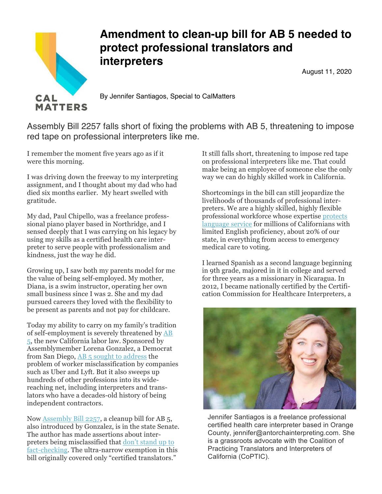

## **Amendment to clean-up bill for AB 5 needed to protect professional translators and interpreters**

August 11, 2020

By Jennifer Santiagos, Special to CalMatters

Assembly Bill 2257 falls short of fixing the problems with AB 5, threatening to impose red tape on professional interpreters like me.

I remember the moment five years ago as if it were this morning.

I was driving down the freeway to my interpreting assignment, and I thought about my dad who had died six months earlier. My heart swelled with gratitude.

My dad, Paul Chipello, was a freelance professsional piano player based in Northridge, and I sensed deeply that I was carrying on his legacy by using my skills as a certified health care interpreter to serve people with professionalism and kindness, just the way he did.

Growing up, I saw both my parents model for me the value of being self-employed. My mother, Diana, is a swim instructor, operating her own small business since I was 2. She and my dad pursued careers they loved with the flexibility to be present as parents and not pay for childcare.

Today my ability to carry on my family's tradition of self-employment is severely threatened by AB 5, the new California labor law. Sponsored by Assemblymember Lorena Gonzalez, a Democrat from San Diego, AB 5 sought to address the problem of worker misclassification by companies such as Uber and Lyft. But it also sweeps up hundreds of other professions into its widereaching net, including interpreters and translators who have a decades-old history of being independent contractors.

Now Assembly Bill 2257, a cleanup bill for AB 5, also introduced by Gonzalez, is in the state Senate. The author has made assertions about interpreters being misclassified that don't stand up to fact-checking. The ultra-narrow exemption in this bill originally covered only "certified translators."

It still falls short, threatening to impose red tape on professional interpreters like me. That could make being an employee of someone else the only way we can do highly skilled work in California.

Shortcomings in the bill can still jeopardize the livelihoods of thousands of professional interpreters. We are a highly skilled, highly flexible professional workforce whose expertise protects language service for millions of Californians with limited English proficiency, about 20% of our state, in everything from access to emergency medical care to voting.

I learned Spanish as a second language beginning in 9th grade, majored in it in college and served for three years as a missionary in Nicaragua. In 2012, I became nationally certified by the Certification Commission for Healthcare Interpreters, a



Jennifer Santiagos is a freelance professional certified health care interpreter based in Orange County, jennifer@antorchainterpreting.com. She is a grassroots advocate with the Coalition of Practicing Translators and Interpreters of California (CoPTIC).